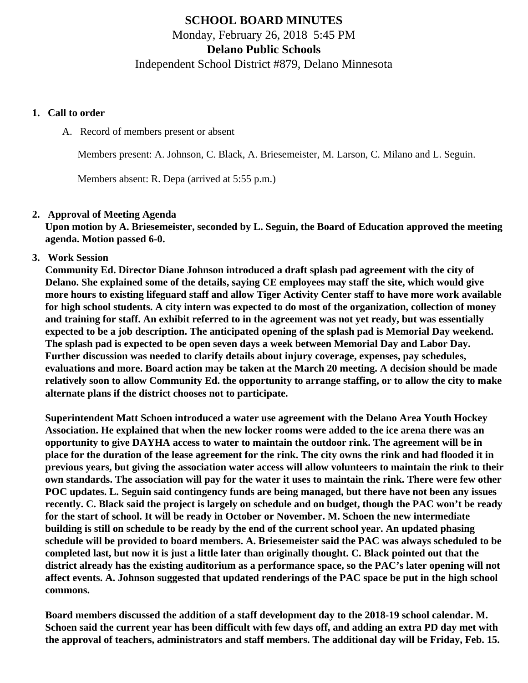# **SCHOOL BOARD MINUTES** Monday, February 26, 2018 5:45 PM **Delano Public Schools**

Independent School District #879, Delano Minnesota

## **1. Call to order**

A. Record of members present or absent

Members present: A. Johnson, C. Black, A. Briesemeister, M. Larson, C. Milano and L. Seguin.

Members absent: R. Depa (arrived at 5:55 p.m.)

# **2. Approval of Meeting Agenda**

**Upon motion by A. Briesemeister, seconded by L. Seguin, the Board of Education approved the meeting agenda. Motion passed 6-0.**

# **3. Work Session**

**Community Ed. Director Diane Johnson introduced a draft splash pad agreement with the city of Delano. She explained some of the details, saying CE employees may staff the site, which would give more hours to existing lifeguard staff and allow Tiger Activity Center staff to have more work available for high school students. A city intern was expected to do most of the organization, collection of money and training for staff. An exhibit referred to in the agreement was not yet ready, but was essentially expected to be a job description. The anticipated opening of the splash pad is Memorial Day weekend. The splash pad is expected to be open seven days a week between Memorial Day and Labor Day. Further discussion was needed to clarify details about injury coverage, expenses, pay schedules, evaluations and more. Board action may be taken at the March 20 meeting. A decision should be made relatively soon to allow Community Ed. the opportunity to arrange staffing, or to allow the city to make alternate plans if the district chooses not to participate.**

**Superintendent Matt Schoen introduced a water use agreement with the Delano Area Youth Hockey Association. He explained that when the new locker rooms were added to the ice arena there was an opportunity to give DAYHA access to water to maintain the outdoor rink. The agreement will be in place for the duration of the lease agreement for the rink. The city owns the rink and had flooded it in previous years, but giving the association water access will allow volunteers to maintain the rink to their own standards. The association will pay for the water it uses to maintain the rink. There were few other POC updates. L. Seguin said contingency funds are being managed, but there have not been any issues recently. C. Black said the project is largely on schedule and on budget, though the PAC won't be ready for the start of school. It will be ready in October or November. M. Schoen the new intermediate building is still on schedule to be ready by the end of the current school year. An updated phasing schedule will be provided to board members. A. Briesemeister said the PAC was always scheduled to be completed last, but now it is just a little later than originally thought. C. Black pointed out that the district already has the existing auditorium as a performance space, so the PAC's later opening will not affect events. A. Johnson suggested that updated renderings of the PAC space be put in the high school commons.**

**Board members discussed the addition of a staff development day to the 2018-19 school calendar. M. Schoen said the current year has been difficult with few days off, and adding an extra PD day met with the approval of teachers, administrators and staff members. The additional day will be Friday, Feb. 15.**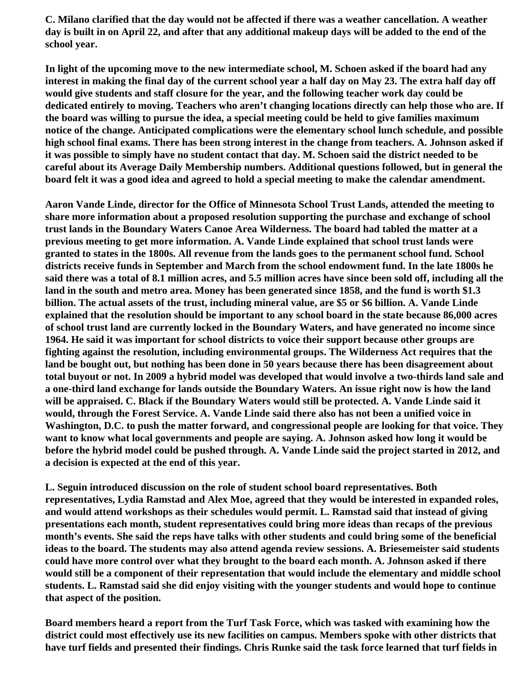**C. Milano clarified that the day would not be affected if there was a weather cancellation. A weather day is built in on April 22, and after that any additional makeup days will be added to the end of the school year.**

**In light of the upcoming move to the new intermediate school, M. Schoen asked if the board had any interest in making the final day of the current school year a half day on May 23. The extra half day off would give students and staff closure for the year, and the following teacher work day could be dedicated entirely to moving. Teachers who aren't changing locations directly can help those who are. If the board was willing to pursue the idea, a special meeting could be held to give families maximum notice of the change. Anticipated complications were the elementary school lunch schedule, and possible high school final exams. There has been strong interest in the change from teachers. A. Johnson asked if it was possible to simply have no student contact that day. M. Schoen said the district needed to be careful about its Average Daily Membership numbers. Additional questions followed, but in general the board felt it was a good idea and agreed to hold a special meeting to make the calendar amendment.**

**Aaron Vande Linde, director for the Office of Minnesota School Trust Lands, attended the meeting to share more information about a proposed resolution supporting the purchase and exchange of school trust lands in the Boundary Waters Canoe Area Wilderness. The board had tabled the matter at a previous meeting to get more information. A. Vande Linde explained that school trust lands were granted to states in the 1800s. All revenue from the lands goes to the permanent school fund. School districts receive funds in September and March from the school endowment fund. In the late 1800s he said there was a total of 8.1 million acres, and 5.5 million acres have since been sold off, including all the land in the south and metro area. Money has been generated since 1858, and the fund is worth \$1.3 billion. The actual assets of the trust, including mineral value, are \$5 or \$6 billion. A. Vande Linde explained that the resolution should be important to any school board in the state because 86,000 acres of school trust land are currently locked in the Boundary Waters, and have generated no income since 1964. He said it was important for school districts to voice their support because other groups are fighting against the resolution, including environmental groups. The Wilderness Act requires that the land be bought out, but nothing has been done in 50 years because there has been disagreement about total buyout or not. In 2009 a hybrid model was developed that would involve a two-thirds land sale and a one-third land exchange for lands outside the Boundary Waters. An issue right now is how the land will be appraised. C. Black if the Boundary Waters would still be protected. A. Vande Linde said it would, through the Forest Service. A. Vande Linde said there also has not been a unified voice in Washington, D.C. to push the matter forward, and congressional people are looking for that voice. They want to know what local governments and people are saying. A. Johnson asked how long it would be before the hybrid model could be pushed through. A. Vande Linde said the project started in 2012, and a decision is expected at the end of this year.**

**L. Seguin introduced discussion on the role of student school board representatives. Both representatives, Lydia Ramstad and Alex Moe, agreed that they would be interested in expanded roles, and would attend workshops as their schedules would permit. L. Ramstad said that instead of giving presentations each month, student representatives could bring more ideas than recaps of the previous month's events. She said the reps have talks with other students and could bring some of the beneficial ideas to the board. The students may also attend agenda review sessions. A. Briesemeister said students could have more control over what they brought to the board each month. A. Johnson asked if there would still be a component of their representation that would include the elementary and middle school students. L. Ramstad said she did enjoy visiting with the younger students and would hope to continue that aspect of the position.**

**Board members heard a report from the Turf Task Force, which was tasked with examining how the district could most effectively use its new facilities on campus. Members spoke with other districts that have turf fields and presented their findings. Chris Runke said the task force learned that turf fields in**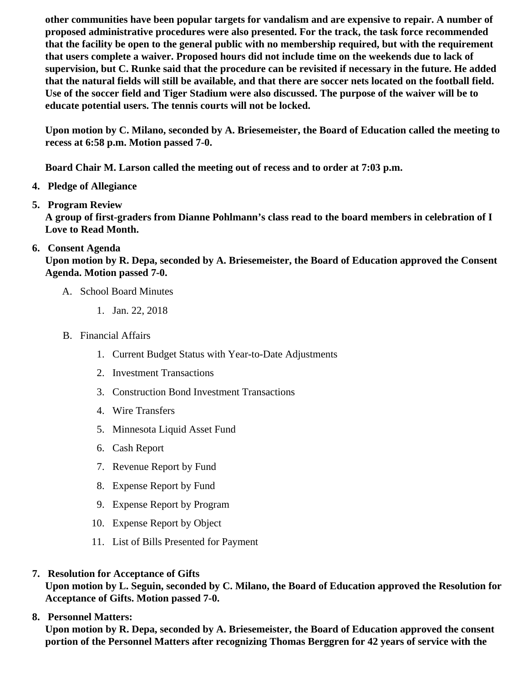other communities have been popular targets for vandalism and are expensive to repair. A number of proposed administrative procedures were also presented. For the track, the task force recommended that the facility be open to the general public with no membership required, but with the requirement that users complete a waiver. Proposed hours did not include time on the weekends due to lack of supervision, but C. Runke said that the procedure can be revisited if necessary in the future. He added that the natural fields will still be available, and that there are soccer nets located on the football field. Use of the soccer field and Tiger Stadium were also discussed. The purpose of the waiver will be to educate potential users. The tennis courts will not be locked.

Upon motion by C. Milano, seconded by A. Briesemeister, the Board of Education called the meeting to recess at 6:58 p.m. Motion passed 7-0.

Board Chair M. Larson called the meeting out of recess and to order at 7:03 p.m.

- 4. Pledge of Allegiance
- 5. Program Review

A group of first-graders from Dianne Pohlmann's class read to the board members in celebration of I Love to Read Month.

6. Consent Agenda

Upon motion by R. Depa, seconded by A. Briesemeister, the Board of Education approved the Consent Agenda. Motion passed 7-0.

- A. School Board Minutes
	- 1. [Jan. 22, 2018](http://www.delano.k12.mn.us/pb/app/agenda/minutes/169)
- B. Financial Affairs
	- 1. [Current Budget Status with Year-to-Date Adjustm](/docs/district/Business_Office/FY18_Budget_Report_Feb.pdf)ents
	- 2. [Investment Transactio](/docs/district/Business_Office/January_2018_Investments.pdf)ns
	- 3. [Construction Bond Investment Transacti](/docs/district/Business_Office/Bond_Investment_schedule_Jan_18.pdf)ons
	- 4. [Wire Transfer](/docs/district/Business_Office/January_2018_Wire_Transfers.pdf)s
	- 5. [Minnesota Liquid Asset Fun](/docs/district/Business_Office/January_2018_LAF.pdf)d
	- 6. [Cash Repo](/docs/district/Business_Office/January_2018_Cash_Report.pdf)rt
	- 7. [Revenue Report by Fu](/docs/district/Business_Office/SCHOOL_BOARD_REPORTS_-_REVENUE_BY_FUND_TOTAL__(Date__6_2018).pdf)nd
	- 8. [Expense Report by Fu](/docs/district/Business_Office/SCHOOL_BOARD_REPORTS_-_EXP_BY_FUND_TOTAL__(Date__6_2018).pdf)nd
	- 9. [Expense Report by Progra](/docs/district/Business_Office/SCHOOL_BOARD_REPORTS_-_EXPENDITURES_BY_PROGRAM__(Date__6_2018).pdf)m
	- 10. [Expense Report by Obje](/docs/district/Business_Office/SCHOOL_BOARD_REPORTS_-_EXPENDITURES_BY_OBJECT__(Date__6_2018).pdf)ct
	- 11. [List of Bills Presented for Payme](/docs/district/Business_Office/DETAIL_OF_MONTHLY_BILLS_PRESENTED_FOR_PAYMENT_(Dates__12_01_17_-_02_21_18).pdf)nt
- 7. [Resolution for Acceptance of Gifts](/docs/district/Business_Office/Resolution_for_Acceptance_of_Gifts_2.26.18.pdf)

Upon motion by L. Seguin, seconded by C. Milano, the Board of Education approved the Resolution for Acceptance of Gifts. Motion passed 7-0.

8. [Personnel Matters:](/docs/district/HR/2.26.18_Personnel.pdf)

Upon motion by R. Depa, seconded by A. Briesemeister, the Board of Education approved the consent portion of the Personnel Matters after recognizing Thomas Berggren for 42 years of service with the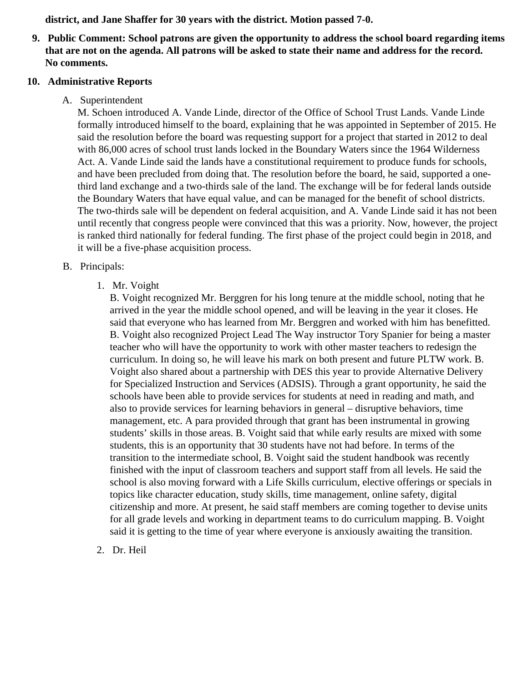**district, and Jane Shaffer for 30 years with the district. Motion passed 7-0.**

**9. Public Comment: School patrons are given the opportunity to address the school board regarding items that are not on the agenda. All patrons will be asked to state their name and address for the record. No comments.**

#### **10. Administrative Reports**

A. Superintendent

M. Schoen introduced A. Vande Linde, director of the Office of School Trust Lands. Vande Linde formally introduced himself to the board, explaining that he was appointed in September of 2015. He said the resolution before the board was requesting support for a project that started in 2012 to deal with 86,000 acres of school trust lands locked in the Boundary Waters since the 1964 Wilderness Act. A. Vande Linde said the lands have a constitutional requirement to produce funds for schools, and have been precluded from doing that. The resolution before the board, he said, supported a onethird land exchange and a two-thirds sale of the land. The exchange will be for federal lands outside the Boundary Waters that have equal value, and can be managed for the benefit of school districts. The two-thirds sale will be dependent on federal acquisition, and A. Vande Linde said it has not been until recently that congress people were convinced that this was a priority. Now, however, the project is ranked third nationally for federal funding. The first phase of the project could begin in 2018, and it will be a five-phase acquisition process.

## B. Principals:

1. Mr. Voight

B. Voight recognized Mr. Berggren for his long tenure at the middle school, noting that he arrived in the year the middle school opened, and will be leaving in the year it closes. He said that everyone who has learned from Mr. Berggren and worked with him has benefitted. B. Voight also recognized Project Lead The Way instructor Tory Spanier for being a master teacher who will have the opportunity to work with other master teachers to redesign the curriculum. In doing so, he will leave his mark on both present and future PLTW work. B. Voight also shared about a partnership with DES this year to provide Alternative Delivery for Specialized Instruction and Services (ADSIS). Through a grant opportunity, he said the schools have been able to provide services for students at need in reading and math, and also to provide services for learning behaviors in general – disruptive behaviors, time management, etc. A para provided through that grant has been instrumental in growing students' skills in those areas. B. Voight said that while early results are mixed with some students, this is an opportunity that 30 students have not had before. In terms of the transition to the intermediate school, B. Voight said the student handbook was recently finished with the input of classroom teachers and support staff from all levels. He said the school is also moving forward with a Life Skills curriculum, elective offerings or specials in topics like character education, study skills, time management, online safety, digital citizenship and more. At present, he said staff members are coming together to devise units for all grade levels and working in department teams to do curriculum mapping. B. Voight said it is getting to the time of year where everyone is anxiously awaiting the transition.

2. Dr. Heil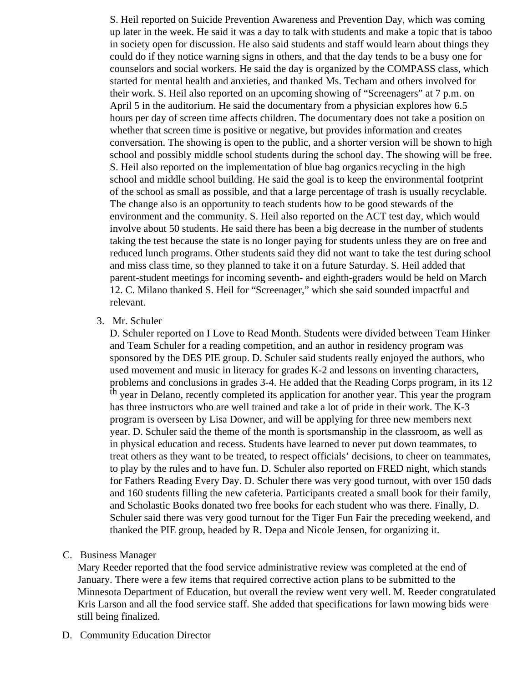S. Heil reported on Suicide Prevention Awareness and Prevention Day, which was coming up later in the week. He said it was a day to talk with students and make a topic that is taboo in society open for discussion. He also said students and staff would learn about things they could do if they notice warning signs in others, and that the day tends to be a busy one for counselors and social workers. He said the day is organized by the COMPASS class, which started for mental health and anxieties, and thanked Ms. Techam and others involved for their work. S. Heil also reported on an upcoming showing of "Screenagers" at 7 p.m. on April 5 in the auditorium. He said the documentary from a physician explores how 6.5 hours per day of screen time affects children. The documentary does not take a position on whether that screen time is positive or negative, but provides information and creates conversation. The showing is open to the public, and a shorter version will be shown to high school and possibly middle school students during the school day. The showing will be free. S. Heil also reported on the implementation of blue bag organics recycling in the high school and middle school building. He said the goal is to keep the environmental footprint of the school as small as possible, and that a large percentage of trash is usually recyclable. The change also is an opportunity to teach students how to be good stewards of the environment and the community. S. Heil also reported on the ACT test day, which would involve about 50 students. He said there has been a big decrease in the number of students taking the test because the state is no longer paying for students unless they are on free and reduced lunch programs. Other students said they did not want to take the test during school and miss class time, so they planned to take it on a future Saturday. S. Heil added that parent-student meetings for incoming seventh- and eighth-graders would be held on March 12. C. Milano thanked S. Heil for "Screenager," which she said sounded impactful and relevant.

#### 3. Mr. Schuler

D. Schuler reported on I Love to Read Month. Students were divided between Team Hinker and Team Schuler for a reading competition, and an author in residency program was sponsored by the DES PIE group. D. Schuler said students really enjoyed the authors, who used movement and music in literacy for grades K-2 and lessons on inventing characters, problems and conclusions in grades 3-4. He added that the Reading Corps program, in its 12 <sup>th</sup> year in Delano, recently completed its application for another year. This year the program has three instructors who are well trained and take a lot of pride in their work. The K-3 program is overseen by Lisa Downer, and will be applying for three new members next year. D. Schuler said the theme of the month is sportsmanship in the classroom, as well as in physical education and recess. Students have learned to never put down teammates, to treat others as they want to be treated, to respect officials' decisions, to cheer on teammates, to play by the rules and to have fun. D. Schuler also reported on FRED night, which stands for Fathers Reading Every Day. D. Schuler there was very good turnout, with over 150 dads and 160 students filling the new cafeteria. Participants created a small book for their family, and Scholastic Books donated two free books for each student who was there. Finally, D. Schuler said there was very good turnout for the Tiger Fun Fair the preceding weekend, and thanked the PIE group, headed by R. Depa and Nicole Jensen, for organizing it.

### C. Business Manager

Mary Reeder reported that the food service administrative review was completed at the end of January. There were a few items that required corrective action plans to be submitted to the Minnesota Department of Education, but overall the review went very well. M. Reeder congratulated Kris Larson and all the food service staff. She added that specifications for lawn mowing bids were still being finalized.

D. Community Education Director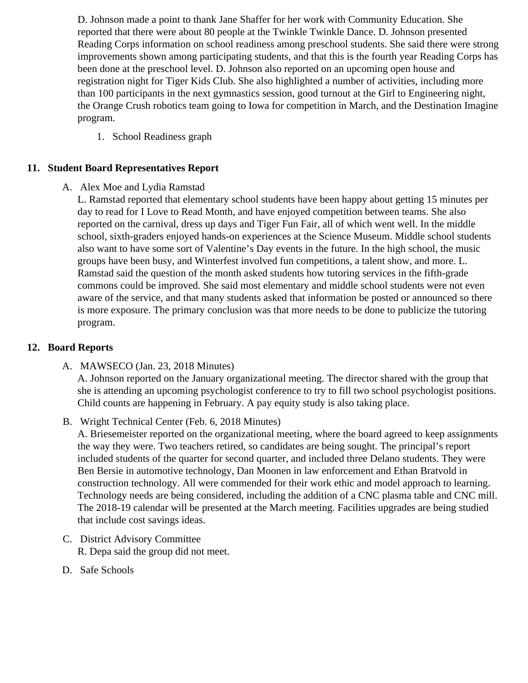D. Johnson made a point to thank Jane Shaffer for her work with Community Education. She reported that there were about 80 people at the Twinkle Twinkle Dance. D. Johnson presented Reading Corps information on school readiness among preschool students. She said there were strangle improvements shown among participating students, and that this is the fourth year Reading Corps been done at the preschool level. D. Johnson also reported on an upcoming open house and registration night for Tiger Kids Club. She also highlighted a number of activities, including more than 100 participants in the next gymnastics session, good turnout at the Girl to Engineering night, the Orange Crush robotics team going to Iowa for competition in March, and the Destination Imagin program.

- 1. [School Readiness gra](/docs/district/2017_18/School_Board_Items/February_2018/4_s_&_5_s.pdf)ph
- 11. Student Board Representatives Report
	- A. Alex Moe and Lydia Ramstad

L. Ramstad reported that elementary school students have been happy about getting 15 minutes p day to read for I Love to Read Month, and have enjoyed competition between teams. She also reported on the carnival, dress up days and Tiger Fun Fair, all of which went well. In the middle school, sixth-graders enjoyed hands-on experiences at the Science Museum. Middle school studer also want to have some sort of Valentine's Day events in the future. In the high school, the music groups have been busy, and Winterfest involved fun competitions, a talent show, and more. L. Ramstad said the question of the month asked students how tutoring services in the fifth-grade commons could be improved. She said most elementary and middle school students were not even aware of the service, and that many students asked that information be posted or announced so the is more exposure. The primary conclusion was that more needs to be done to publicize the tutoring program.

- 12. Board Reports
	- A. MAWSECO [\(Jan. 23, 2018 Minute](/docs/district/2017_18/School_Board_Items/February_2018/MAWSECO_Minutes_Jan._23,_2018.pdf)s[\)](/docs/district/2017_18/School_Board_Items/February_2018/MAWSECO_Minutes_Jan._23,_2018.pdf) A. Johnson reported on the January organizational meeting. The director shared with the group that she is attending an upcoming psychologist conference to try to fill two school psychologist positions Child counts are happening in February. A pay equity study is also taking place.
	- B. Wright Technical Center (eb. 6, 2018 Minutes[\)](/docs/district/2017_18/School_Board_Items/February_2018/WTC__February_6_minutes_Board_assignment.pdf)

A. Briesemeister reported on the organizational meeting, where the board agreed to keep assignm the way they were. Two teachers retired, so candidates are being sought. The principal's report included students of the quarter for second quarter, and included three Delano students. They were Ben Bersie in automotive technology, Dan Moonen in law enforcement and Ethan Bratvold in construction technology. All were commended for their work ethic and model approach to learning. Technology needs are being considered, including the addition of a CNC plasma table and CNC mill. The 2018-19 calendar will be presented at the March meeting. Facilities upgrades are being studie that include cost savings ideas.

- C. District Advisory Committee R. Depa said the group did not meet.
- D. Safe Schools